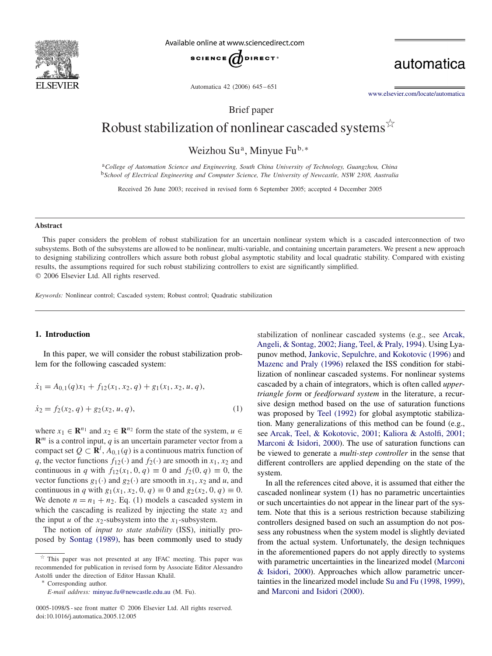

Available online at www.sciencedirect.com



automatica

Automatica 42 (2006) 645 – 651

[www.elsevier.com/locate/automatica](http://www.elsevier.com/locate/automatica)

Brief paper

# Robust stabilization of nonlinear cascaded systems  $\overrightarrow{x}$

Weizhou Su<sup>a</sup>, Minyue Fu<sup>b,∗</sup>

<sup>a</sup>*College of Automation Science and Engineering, South China University of Technology, Guangzhou, China* <sup>b</sup>*School of Electrical Engineering and Computer Science, The University of Newcastle, NSW 2308, Australia*

Received 26 June 2003; received in revised form 6 September 2005; accepted 4 December 2005

#### **Abstract**

This paper considers the problem of robust stabilization for an uncertain nonlinear system which is a cascaded interconnection of two subsystems. Both of the subsystems are allowed to be nonlinear, multi-variable, and containing uncertain parameters. We present a new approach to designing stabilizing controllers which assure both robust global asymptotic stability and local quadratic stability. Compared with existing results, the assumptions required for such robust stabilizing controllers to exist are significantly simplified.  $© 2006 Elsevier Ltd. All rights reserved.$ 

*Keywords:* Nonlinear control; Cascaded system; Robust control; Quadratic stabilization

## **1. Introduction**

In this paper, we will consider the robust stabilization problem for the following cascaded system:

$$
\dot{x}_1 = A_{0,1}(q)x_1 + f_{12}(x_1, x_2, q) + g_1(x_1, x_2, u, q),
$$

$$
\dot{x}_2 = f_2(x_2, q) + g_2(x_2, u, q),\tag{1}
$$

where  $x_1 \in \mathbb{R}^{n_1}$  and  $x_2 \in \mathbb{R}^{n_2}$  form the state of the system,  $u \in$  $\mathbf{R}^m$  is a control input, *q* is an uncertain parameter vector from a compact set  $Q \subset \mathbb{R}^l$ ,  $A_{0,1}(q)$  is a continuous matrix function of a the vector functions  $f_{\Omega}(x)$  and  $f_{\Omega}(x)$  are smooth in  $x_1, x_2$  and *q*, the vector functions  $f_{12}(\cdot)$  and  $f_2(\cdot)$  are smooth in  $x_1, x_2$  and continuous in *q* with  $f_{12}(x_1, 0, q) \equiv 0$  and  $f_2(0, q) \equiv 0$ , the vector functions  $g_1(\cdot)$  and  $g_2(\cdot)$  are smooth in  $x_1, x_2$  and *u*, and continuous in *q* with  $g_1(x_1, x_2, 0, q) \equiv 0$  and  $g_2(x_2, 0, q) \equiv 0$ . We denote  $n = n_1 + n_2$ . Eq. (1) models a cascaded system in which the cascading is realized by injecting the state  $x_2$  and the input *u* of the  $x_2$ -subsystem into the  $x_1$ -subsystem.

The notion of *input to state stability* (ISS), initially proposed by [Sontag \(1989\),](#page-6-0) has been commonly used to study stabilization of nonlinear cascaded systems (e.g., see Arcak, Angeli, & Sontag, 2002; Jiang, Teel, & Praly, 1994). Using Lyapunov method, [Jankovic, Sepulchre, and Kokotovic \(1996\)](#page-6-0) and [Mazenc and Praly \(1996\)](#page-6-0) relaxed the ISS condition for stabilization of nonlinear cascaded systems. For nonlinear systems cascaded by a chain of integrators, which is often called *uppertriangle form* or *feedforward system* in the literature, a recursive design method based on the use of saturation functions was proposed by [Teel \(1992\)](#page-6-0) for global asymptotic stabilization. Many generalizations of this method can be found (e.g., see [Arcak, Teel, & Kokotovic, 2001;](#page-6-0) Kaliora & Astolfi, 2001; Marconi & Isidori, 2000). The use of saturation functions can be viewed to generate a *multi-step controller* in the sense that different controllers are applied depending on the state of the system.

In all the references cited above, it is assumed that either the cascaded nonlinear system (1) has no parametric uncertainties or such uncertainties do not appear in the linear part of the system. Note that this is a serious restriction because stabilizing controllers designed based on such an assumption do not possess any robustness when the system model is slightly deviated from the actual system. Unfortunately, the design techniques in the aforementioned papers do not apply directly to systems with parametric uncertainties in the linearized model (Marconi & Isidori, 2000[\).](#page-6-0) [Approaches](#page-6-0) [which](#page-6-0) [allow](#page-6-0) [parametri](#page-6-0)c uncertainties in the linearized model include Su and Fu (1998, 1999), and [Marconi and Isidori \(2000\).](#page-6-0)

 $*$  This paper was not presented at any IFAC meeting. This paper was recommended for publication in revised form by Associate Editor Alessandro Astolfi under the direction of Editor Hassan Khalil. <sup>∗</sup> Corresponding author.

*E-mail address:* [minyue.fu@newcastle.edu.au](mailto:minyue.fu@newcastle.edu.au) (M. Fu).

<sup>0005-1098/\$ -</sup> see front matter © 2006 Elsevier Ltd. All rights reserved. doi:10.1016/j.automatica.2005.12.005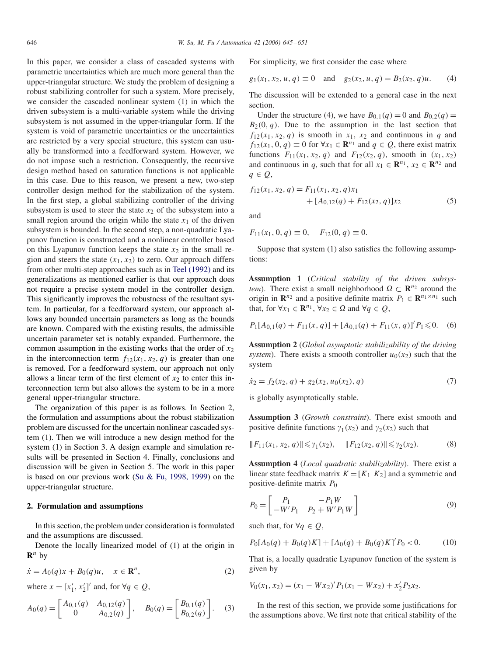In this paper, we consider a class of cascaded systems with parametric uncertainties which are much more general than the upper-triangular structure. We study the problem of designing a robust stabilizing controller for such a system. More precisely, we consider the cascaded nonlinear system (1) in which the driven subsystem is a multi-variable system while the driving subsystem is not assumed in the upper-triangular form. If the system is void of parametric uncertainties or the uncertainties are restricted by a very special structure, this system can usually be transformed into a feedforward system. However, we do not impose such a restriction. Consequently, the recursive design method based on saturation functions is not applicable in this case. Due to this reason, we present a new, two-step controller design method for the stabilization of the system. In the first step, a global stabilizing controller of the driving subsystem is used to steer the state  $x_2$  of the subsystem into a small region around the origin while the state  $x_1$  of the driven subsystem is bounded. In the second step, a non-quadratic Lyapunov function is constructed and a nonlinear controller based on this Lyapunov function keeps the state  $x_2$  in the small region and steers the state  $(x_1, x_2)$  to zero. Our approach differs from other multi-step approaches such as in [Teel \(1992\)](#page-6-0) and its generalizations as mentioned earlier is that our approach does not require a precise system model in the controller design. This significantly improves the robustness of the resultant system. In particular, for a feedforward system, our approach allows any bounded uncertain parameters as long as the bounds are known. Compared with the existing results, the admissible uncertain parameter set is notably expanded. Furthermore, the common assumption in the existing works that the order of  $x_2$ in the interconnection term  $f_{12}(x_1, x_2, q)$  is greater than one is removed. For a feedforward system, our approach not only allows a linear term of the first element of  $x_2$  to enter this interconnection term but also allows the system to be in a more general upper-triangular structure.

The organization of this paper is as follows. In Section 2, the formulation and assumptions about the robust stabilization problem are discussed for the uncertain nonlinear cascaded system (1). Then we will introduce a new design method for the system (1) in Section 3. A design example and simulation results will be presented in Section 4. Finally, conclusions and discussion will be given in Section 5. The work in this paper is based on our previous work (Su & Fu, 1998, 1999) on the upper-triangular structure.

#### **2. Formulation and assumptions**

In this section, the problem under consideration is formulated and the assumptions are discussed.

Denote the locally linearized model of (1) at the origin in  $\mathbf{R}^n$  by

$$
\dot{x} = A_0(q)x + B_0(q)u, \quad x \in \mathbf{R}^n,
$$
\n(2)

where  $x = [x'_1, x'_2]'$  and, for  $\forall q \in Q$ ,

$$
A_0(q) = \begin{bmatrix} A_{0,1}(q) & A_{0,12}(q) \\ 0 & A_{0,2}(q) \end{bmatrix}, \quad B_0(q) = \begin{bmatrix} B_{0,1}(q) \\ B_{0,2}(q) \end{bmatrix}. \quad (3)
$$

For simplicity, we first consider the case where

$$
g_1(x_1, x_2, u, q) \equiv 0
$$
 and  $g_2(x_2, u, q) = B_2(x_2, q)u$ . (4)

The discussion will be extended to a general case in the next section.

Under the structure (4), we have  $B_{0,1}(q) = 0$  and  $B_{0,2}(q) = 0$  $B_2(0, q)$ . Due to the assumption in the last section that  $f_{12}(x_1, x_2, q)$  is smooth in  $x_1, x_2$  and continuous in *q* and  $f_{12}(x_1, 0, q) \equiv 0$  for  $\forall x_1 \in \mathbb{R}^{n_1}$  and  $q \in Q$ , there exist matrix functions  $F_{11}(x_1, x_2, q)$  and  $F_{12}(x_2, q)$ , smooth in  $(x_1, x_2)$ and continuous in *q*, such that for all  $x_1 \in \mathbb{R}^{n_1}$ ,  $x_2 \in \mathbb{R}^{n_2}$  and *q* <sup>∈</sup> *Q*,

$$
f_{12}(x_1, x_2, q) = F_{11}(x_1, x_2, q)x_1
$$
  
+ 
$$
[A_{0,12}(q) + F_{12}(x_2, q)]x_2
$$
 (5)

and

 $F_{11}(x_1, 0, q) \equiv 0$ ,  $F_{12}(0, q) \equiv 0$ .

Suppose that system (1) also satisfies the following assumptions:

**Assumption 1** (*Critical stability of the driven subsystem*). There exist a small neighborhood  $\Omega \subset \mathbb{R}^{n_2}$  around the origin in  $\mathbb{R}^{n_2}$  and a positive definite matrix  $P_1 \in \mathbb{R}^{n_1 \times n_1}$  such that, for  $\forall x_1 \in \mathbb{R}^{n_1}$ ,  $\forall x_2 \in \Omega$  and  $\forall q \in \mathcal{Q}$ ,

$$
P_1[A_{0,1}(q) + F_{11}(x,q)] + [A_{0,1}(q) + F_{11}(x,q)]'P_1 \leq 0. \quad (6)
$$

**Assumption 2** (*Global asymptotic stabilizability of the driving system*). There exists a smooth controller  $u_0(x_2)$  such that the system

$$
\dot{x}_2 = f_2(x_2, q) + g_2(x_2, u_0(x_2), q) \tag{7}
$$

is globally asymptotically stable.

**Assumption 3** (*Growth constraint*). There exist smooth and positive definite functions  $\gamma_1(x_2)$  and  $\gamma_2(x_2)$  such that

$$
||F_{11}(x_1, x_2, q)|| \leq \gamma_1(x_2), \quad ||F_{12}(x_2, q)|| \leq \gamma_2(x_2). \tag{8}
$$

**Assumption 4** (*Local quadratic stabilizability*). There exist a linear state feedback matrix  $K = [K_1 \ K_2]$  and a symmetric and positive-definite matrix *<sup>P</sup>*<sup>0</sup>

$$
P_0 = \begin{bmatrix} P_1 & -P_1 W \\ -W'P_1 & P_2 + W'P_1 W \end{bmatrix}
$$
 (9)

such that, for  $\forall q \in Q$ ,

$$
P_0[A_0(q) + B_0(q)K] + [A_0(q) + B_0(q)K]'P_0 < 0. \tag{10}
$$

That is, a locally quadratic Lyapunov function of the system is given by

$$
V_0(x_1, x_2) = (x_1 - Wx_2)'P_1(x_1 - Wx_2) + x'_2P_2x_2.
$$

In the rest of this section, we provide some justifications for the assumptions above. We first note that critical stability of the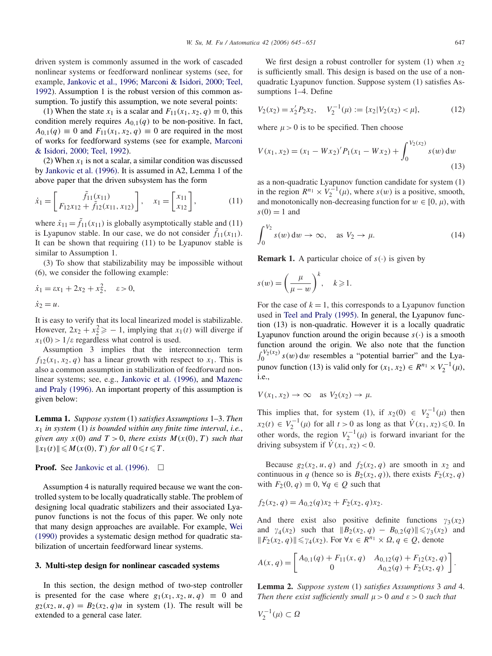driven system is commonly assumed in the work of cascaded nonlinear systems or feedforward nonlinear systems (see, for example, Jankovic et al., 1996; Marconi & Isidori, 2000; Teel, 1992). Assumption 1 is the robust version of this common assumption. To justify this assumption, we note several points:

(1) When the state  $x_1$  is a scalar and  $F_{11}(x_1, x_2, q) \equiv 0$ , this condition merely requires  $A_{0,1}(q)$  to be non-positive. In fact,  $A_{0,1}(q) \equiv 0$  and  $F_{11}(x_1, x_2, q) \equiv 0$  are required in the most of works for feedforward systems (see for example, Marconi & Isidori, 2000; Teel, 1992).

(2) When  $x_1$  is not a scalar, a similar condition was discussed by [Jankovic et al. \(1996\).](#page-6-0) It is assumed in A2, Lemma 1 of the above paper that the driven subsystem has the form

$$
\dot{x}_1 = \begin{bmatrix} \tilde{f}_{11}(x_{11}) \\ F_{12}x_{12} + \tilde{f}_{12}(x_{11}, x_{12}) \end{bmatrix}, \quad x_1 = \begin{bmatrix} x_{11} \\ x_{12} \end{bmatrix}, \quad (11)
$$

where  $\dot{x}_{11} = \tilde{f}_{11}(x_{11})$  is globally asymptotically stable and (11) is I vanished and the United States and Consider  $\tilde{f}_{11}(x_{11})$ is Lyapunov stable. In our case, we do not consider  $\tilde{f}_{11}(x_{11})$ .<br>It can be shown that requiring (11) to be I vanuous stable is It can be shown that requiring (11) to be Lyapunov stable is similar to Assumption 1.

(3) To show that stabilizability may be impossible without (6), we consider the following example:

$$
\dot{x}_1 = \varepsilon x_1 + 2x_2 + x_2^2, \quad \varepsilon > 0, \n\dot{x}_2 = u.
$$

It is easy to verify that its local linearized model is stabilizable. However,  $2x_2 + x_2^2 \ge -1$ , implying that  $x_1(t)$  will diverge if  $x_1(0) > 1$  is regardless what control is used  $x_1(0) > 1/\varepsilon$  regardless what control is used.

Assumption 3 implies that the interconnection term  $f_{12}(x_1, x_2, q)$  has a linear growth with respect to  $x_1$ . This is also a common assumption in stabilization of feedforward nonlinear systems; see, e.g., [Jankovic et al. \(1996\),](#page-6-0) and Mazenc and Praly (1996)[.](#page-6-0) [An](#page-6-0) [important](#page-6-0) [property](#page-6-0) [of](#page-6-0) [this](#page-6-0) [assum](#page-6-0)ption is given below:

**Lemma 1.** *Suppose system* (1) *satisfies Assumptions* 1–3. *Then <sup>x</sup>*<sup>1</sup> *in system* (1) *is bounded within any finite time interval*, *i.e.*, *given any*  $x(0)$  *and*  $T > 0$ *, there exists*  $M(x(0), T)$  *such that*  $||x_1(t)|| \leq M(x(0), T)$  *for all*  $0 \leq t \leq T$ .

#### **Proof.** See [Jankovic et al. \(1996\).](#page-6-0)  $\Box$

Assumption 4 is naturally required because we want the controlled system to be locally quadratically stable. The problem of designing local quadratic stabilizers and their associated Lyapunov functions is not the focus of this paper. We only note that many design approaches are available. For example, Wei (1990) [provides](#page-6-0) [a](#page-6-0) [systematic](#page-6-0) [design](#page-6-0) [method](#page-6-0) [for](#page-6-0) [quadratic](#page-6-0) stabilization of uncertain feedforward linear systems.

#### **3. Multi-step design for nonlinear cascaded systems**

In this section, the design method of two-step controller is presented for the case where  $g_1(x_1, x_2, u, q) \equiv 0$  and  $g_2(x_2, u, q) = B_2(x_2, q)u$  in system (1). The result will be extended to a general case later.

We first design a robust controller for system  $(1)$  when  $x_2$ is sufficiently small. This design is based on the use of a nonquadratic Lyapunov function. Suppose system (1) satisfies Assumptions 1–4. Define

$$
V_2(x_2) = x_2' P_2 x_2, \quad V_2^{-1}(\mu) := \{x_2 | V_2(x_2) < \mu\},\tag{12}
$$

where  $\mu > 0$  is to be specified. Then choose

$$
V(x_1, x_2) = (x_1 - Wx_2)'P_1(x_1 - Wx_2) + \int_0^{V_2(x_2)} s(w) dw
$$
\n(13)

as a non-quadratic Lyapunov function candidate for system (1) in the region  $R^{n_1} \times V_2^{-1}(\mu)$ , where  $s(w)$  is a positive, smooth, and monotonically non-decreasing function for  $w \in [0, \mu)$ , with  $s(0) = 1$  and

$$
\int_0^{V_2} s(w) dw \to \infty, \quad \text{as } V_2 \to \mu. \tag{14}
$$

**Remark 1.** A particular choice of  $s(\cdot)$  is given by

$$
s(w) = \left(\frac{\mu}{\mu - w}\right)^k, \quad k \geqslant 1.
$$

For the case of  $k = 1$ , this corresponds to a Lyapunov function used in [Teel and Praly \(1995\).](#page-6-0) In general, the Lyapunov function (13) is non-quadratic. However it is a locally quadratic Lyapunov function around the origin because  $s(\cdot)$  is a smooth function around the origin. We also note that the function  $\int_0^{V_2(x_2)} s(w) dw$  resembles a "potential barrier" and the Lyapunov function (13) is valid only for  $(x_1, x_2) \in R^{n_1} \times V_2^{-1}(\mu)$ , i.e.,

$$
V(x_1, x_2) \to \infty \quad \text{as } V_2(x_2) \to \mu.
$$

This implies that, for system (1), if  $x_2(0) \in V_2^{-1}(\mu)$  then<br> $x_2(0) \in V^{-1}(\mu)$  for all  $\mu > 0$  as long as that  $V(\mu, \mu) \leq 0$ . In  $x_2(t) \in V_2^{-1}(\mu)$  for all  $t > 0$  as long as that  $\dot{V}(x_1, x_2) \le 0$ . In other words, the region  $V_2^{-1}(\mu)$  is forward invariant for the driving subsystem if  $V(x, \mu) > 0$ driving subsystem if  $\dot{V}(x_1, x_2) < 0$ .

Because  $g_2(x_2, u, q)$  and  $f_2(x_2, q)$  are smooth in  $x_2$  and continuous in *q* (hence so is  $B_2(x_2, q)$ ), there exists  $F_2(x_2, q)$ with  $F_2(0, q) \equiv 0$ ,  $\forall q \in Q$  such that

$$
f_2(x_2, q) = A_{0,2}(q)x_2 + F_2(x_2, q)x_2.
$$

And there exist also positive definite functions  $\gamma_3(x_2)$ And there exist also positive definite functions  $\gamma_3(x_2)$ <br>
and  $\gamma_4(x_2)$  such that  $||B_2(x_2, q) - B_{0,2}(q)|| \leq \gamma_3(x_2)$  and<br>  $||F_2(x_2, q)|| \leq \gamma_4(x_2)$  For  $\forall x \in R^{n_1} \times Q, a \in Q$  denote  $||F_2(x_2, q)|| \le \gamma_4(x_2)$ . For ∀*x* ∈ *R*<sup>*n*</sup><sup>1</sup> ×  $\Omega, q \in Q$ , denote

$$
A(x,q) = \begin{bmatrix} A_{0,1}(q) + F_{11}(x,q) & A_{0,12}(q) + F_{12}(x_2,q) \\ 0 & A_{0,2}(q) + F_2(x_2,q) \end{bmatrix}.
$$

**Lemma 2.** *Suppose system* (1) *satisfies Assumptions* 3 *and* 4. *Then there exist sufficiently small*  $\mu > 0$  *and*  $\varepsilon > 0$  *such that* 

$$
V_2^{-1}(\mu) \subset \Omega
$$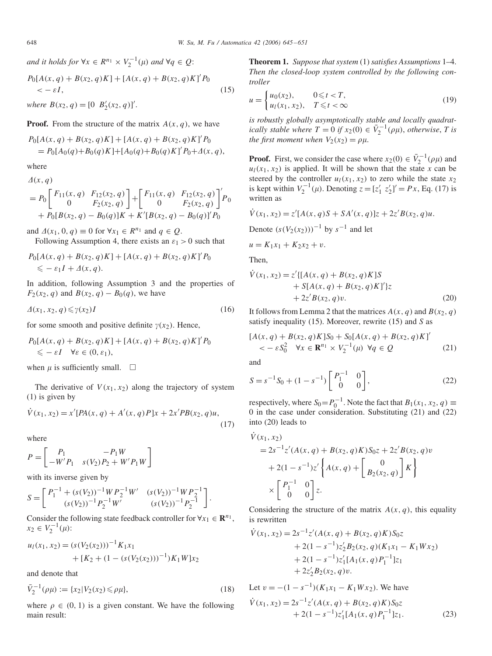*and it holds for* ∀*x* ∈  $R^{n_1} \times V_2^{-1}(\mu)$  *and* ∀*q* ∈ *Q*:

$$
P_0[A(x, q) + B(x_2, q)K] + [A(x, q) + B(x_2, q)K]'P_0
$$
  
< 
$$
< -\varepsilon I,
$$
 (15)

*where*  $B(x_2, q) = [0 \ B'_2(x_2, q)]'.$ 

**Proof.** From the structure of the matrix  $A(x, q)$ , we have

$$
P_0[A(x, q) + B(x_2, q)K] + [A(x, q) + B(x_2, q)K]'P_0
$$
  
=  $P_0[A_0(q) + B_0(q)K] + [A_0(q) + B_0(q)K]'P_0 + A(x, q),$ 

where  $A(x, a)$ 

$$
= P_0 \begin{bmatrix} F_{11}(x,q) & F_{12}(x_2,q) \\ 0 & F_2(x_2,q) \end{bmatrix} + \begin{bmatrix} F_{11}(x,q) & F_{12}(x_2,q) \\ 0 & F_2(x_2,q) \end{bmatrix}^T P_0
$$
  
+  $P_0[B(x_2,q) - B_0(q)]K + K'[B(x_2,q) - B_0(q)]'P_0$ 

and  $\Delta(x_1, 0, q) \equiv 0$  for  $\forall x_1 \in R^{n_1}$  and  $q \in Q$ .

Following Assumption 4, there exists an  $\varepsilon_1 > 0$  such that

$$
P_0[A(x, q) + B(x_2, q)K] + [A(x, q) + B(x_2, q)K]'P_0
$$
  
\$\leq -\varepsilon\_1 I + \Delta(x, q).

In addition, following Assumption 3 and the properties of *F*<sub>2</sub>(*x*<sub>2</sub>*, q*) and *B*(*x*<sub>2</sub>*, q*) − *B*<sub>0</sub>(*q*)*,* we have

$$
\Delta(x_1, x_2, q) \leq \gamma(x_2)I \tag{16}
$$

for some smooth and positive definite  $\gamma(x_2)$ . Hence,

$$
P_0[A(x, q) + B(x_2, q)K] + [A(x, q) + B(x_2, q)K]'P_0
$$
  
\$\leq -\varepsilon I \quad \forall \varepsilon \in (0, \varepsilon\_1),\$

when  $\mu$  is sufficiently small.  $\Box$ 

The derivative of  $V(x_1, x_2)$  along the trajectory of system (1) is given by

$$
\dot{V}(x_1, x_2) = x'[PA(x, q) + A'(x, q)P]x + 2x'PB(x_2, q)u,
$$
\n(17)

where

$$
P = \begin{bmatrix} P_1 & -P_1 W \\ -W'P_1 & s(V_2)P_2 + W'P_1 W \end{bmatrix}
$$

with its inverse given by

$$
S = \begin{bmatrix} P_1^{-1} + (s(V_2))^{-1}WP_2^{-1}W' & (s(V_2))^{-1}WP_2^{-1} \\ (s(V_2))^{-1}P_2^{-1}W' & (s(V_2))^{-1}P_2^{-1} \end{bmatrix}.
$$

Consider the following state feedback controller for  $\forall x_1 \in \mathbb{R}^{n_1}$ ,<br> $x_2 \in V^{-1}(u)$  $x_2 \in V_2^{-1}(\mu)$ :

$$
u_1(x_1, x_2) = (s(V_2(x_2)))^{-1} K_1 x_1 + [K_2 + (1 - (s(V_2(x_2)))^{-1}) K_1 W] x_2
$$

and denote that

$$
\bar{V}_2^{-1}(\rho\mu) := \{x_2 | V_2(x_2) \le \rho\mu\},\tag{18}
$$

where  $\rho \in (0, 1)$  is a given constant. We have the following main result:

**Theorem 1.** *Suppose that system* (1) *satisfies Assumptions* 1–4. *Then the closed-loop system controlled by the following controller*

$$
u = \begin{cases} u_0(x_2), & 0 \le t < T, \\ u_1(x_1, x_2), & T \le t < \infty \end{cases}
$$
 (19)

*is robustly globally asymptotically stable and locally quadratically stable where*  $T = 0$  *if*  $x_2(0) \in \overline{V}_2^{-1}(\rho\mu)$ , *otherwise*, *T is the first moment when*  $V_2(x_2) = 0$ *the first moment when*  $V_2(x_2) = \rho \mu$ .

**Proof.** First, we consider the case where  $x_2(0) \in \overline{V}_2^{-1}(\rho\mu)$  and  $u_1(x_1, x_2)$  is annited. It will be shown that the state *x* can be  $u_l(x_1, x_2)$  is applied. It will be shown that the state *x* can be state by the controller  $u_l(x_1, x_2)$  to zero while the state *x* steered by the controller  $u_1(x_1, x_2)$  to zero while the state  $x_2$ <br>is kept within  $V^{-1}(u)$ . Denoting  $z = [z' \ z']' = Px$ . Eq. (17) is is kept within  $V_2^{-1}(\mu)$ . Denoting  $z = [z'_1 \ z'_2]' = Px$ , Eq. (17) is written as

$$
\dot{V}(x_1, x_2) = z'[A(x, q)S + SA'(x, q)]z + 2z'B(x_2, q)u.
$$

Denote 
$$
(s(V_2(x_2)))^{-1}
$$
 by  $s^{-1}$  and let

$$
u = K_1 x_1 + K_2 x_2 + v.
$$

Then,

$$
\dot{V}(x_1, x_2) = z' \{ [A(x, q) + B(x_2, q)K] S + S[A(x, q) + B(x_2, q)K]' \} z + 2z' B(x_2, q) v.
$$
\n(20)

It follows from Lemma 2 that the matrices  $A(x, q)$  and  $B(x_2, q)$ <br>satisfy inequality (15) Moreover, rewrite (15) and S as satisfy inequality (15). Moreover, rewrite (15) and *S* as

$$
[A(x, q) + B(x2, q)K]S0 + S0[A(x, q) + B(x2, q)K]'
$$
  
< 
$$
< - \varepsilon S02 \quad \forall x \in \mathbb{R}^{n_1} \times V_2^{-1}(\mu) \quad \forall q \in \mathcal{Q}
$$
 (21)

and

$$
S = s^{-1}S_0 + (1 - s^{-1}) \begin{bmatrix} P_1^{-1} & 0\\ 0 & 0 \end{bmatrix},
$$
 (22)

respectively, where  $S_0 = P_0^{-1}$ . Note the fact that  $B_1(x_1, x_2, q) \equiv 0$  in the case under consideration. Substituting (21) and (22) 0 in the case under consideration. Substituting (21) and (22) into (20) leads to

$$
\dot{V}(x_1, x_2)
$$
  
= 2s<sup>-1</sup>z'(A(x, q) + B(x<sub>2</sub>, q)K)S<sub>0</sub>z + 2z'B(x<sub>2</sub>, q)v  
+ 2(1 - s<sup>-1</sup>)z'\n
$$
\left\{ A(x, q) + \begin{bmatrix} 0 \\ B_2(x_2, q) \end{bmatrix} K \right\}
$$
  

$$
\times \begin{bmatrix} P_1^{-1} & 0 \\ 0 & 0 \end{bmatrix} z.
$$

Considering the structure of the matrix  $A(x, q)$ , this equality is rewritten

$$
\dot{V}(x_1, x_2) = 2s^{-1}z'(A(x, q) + B(x_2, q)K)S_0z
$$
  
+ 2(1 - s<sup>-1</sup>)z'<sub>2</sub>B<sub>2</sub>(x<sub>2</sub>, q)(K<sub>1</sub>x<sub>1</sub> - K<sub>1</sub>Wx<sub>2</sub>)  
+ 2(1 - s<sup>-1</sup>)z'<sub>1</sub>[A<sub>1</sub>(x, q)P<sub>1</sub><sup>-1</sup>]z<sub>1</sub>  
+ 2z'<sub>2</sub>B<sub>2</sub>(x<sub>2</sub>, q)v.

Let  $v = -(1 - s^{-1})(K_1x_1 - K_1Wx_2)$ . We have

$$
\dot{V}(x_1, x_2) = 2s^{-1}z'(A(x, q) + B(x_2, q)K)S_0z \n+ 2(1 - s^{-1})z'_1[A_1(x, q)P_1^{-1}]z_1.
$$
\n(23)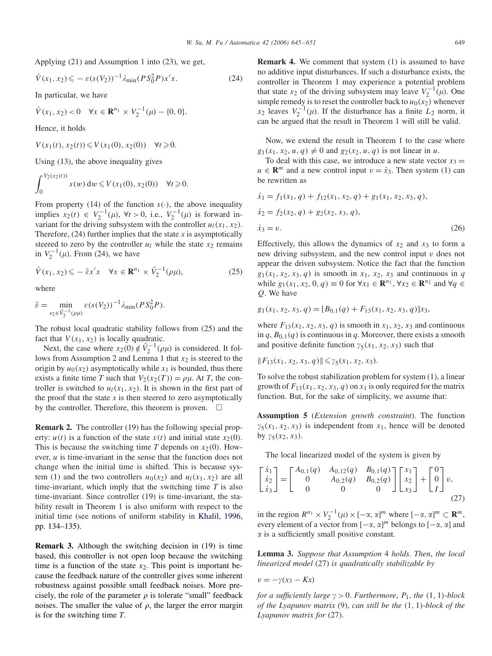Applying (21) and Assumption 1 into (23), we get,

$$
\dot{V}(x_1, x_2) \leqslant -\varepsilon (s(V_2))^{-1} \lambda_{\min} (PS_0^2 P) x' x. \tag{24}
$$

In particular, we have

$$
\dot{V}(x_1, x_2) < 0 \quad \forall x \in \mathbf{R}^{n_1} \times V_2^{-1}(\mu) - \{0, 0\}.
$$

Hence, it holds

*V*(*x*<sub>1</sub>(*t*)*, x*<sub>2</sub>(*t*)) ≤ *V*(*x*<sub>1</sub>(0)*, x*<sub>2</sub>(0)) ∀*t* ≥ 0.

Using (13), the above inequality gives

$$
\int_0^{V_2(x_2(t))} s(w) dw \leqslant V(x_1(0), x_2(0)) \quad \forall t \geqslant 0.
$$

From property (14) of the function  $s(\cdot)$ , the above inequality implies  $x_2(t) \text{ ∈ } V_2^{-1}(\mu)$ ,  $\forall t > 0$ , i.e.,  $V_2^{-1}(\mu)$  is forward in-<br>variant for the driving subsystem with the controller  $u_1(x_1, x_2)$ . variant for the driving subsystem with the controller  $u_1(x_1, x_2)$ . Therefore,  $(24)$  further implies that the state *x* is asymptotically steered to zero by the controller  $u_l$  while the state  $x_2$  remains in  $V_2^{-1}(\mu)$ . From (24), we have

$$
\dot{V}(x_1, x_2) \leqslant -\bar{\varepsilon}x'x \quad \forall x \in \mathbf{R}^{n_1} \times \bar{V}_2^{-1}(\rho \mu),\tag{25}
$$

where

$$
\bar{\varepsilon} = \min_{x_2 \in \bar{V}_2^{-1}(\rho\mu)} \varepsilon(s(V_2))^{-1} \lambda_{\min}(PS_0^2 P).
$$

The robust local quadratic stability follows from (25) and the fact that  $V(x_1, x_2)$  is locally quadratic.

Next, the case where  $x_2(0) \notin \overline{V}_2^{-1}(\rho\mu)$  is considered. It fol-<br>ws from Assumption 2 and Lemma 1 that rs is steered to the lows from Assumption 2 and Lemma 1 that  $x_2$  is steered to the origin by  $u_0(x_2)$  asymptotically while  $x_1$  is bounded, thus there exists a finite time *T* such that  $V_2(x_2(T)) = \rho \mu$ . At *T*, the controller is switched to  $u_1(x_1, x_2)$ . It is shown in the first part of the proof that the state  $x$  is then steered to zero asymptotically by the controller. Therefore, this theorem is proven.  $\Box$ 

**Remark 2.** The controller (19) has the following special property:  $u(t)$  is a function of the state  $x(t)$  and initial state  $x<sub>2</sub>(0)$ . This is because the switching time *T* depends on  $x_2(0)$ . However, *u* is time-invariant in the sense that the function does not change when the initial time is shifted. This is because system (1) and the two controllers  $u_0(x_2)$  and  $u_1(x_1, x_2)$  are all time-invariant, which imply that the switching time *T* is also time-invariant. Since controller (19) is time-invariant, the stability result in Theorem 1 is also uniform with respect to the initial time (see notions of uniform stability in [Khalil, 1996,](#page-6-0) pp. 134–135).

**Remark 3.** Although the switching decision in (19) is time based, this controller is not open loop because the switching time is a function of the state  $x_2$ . This point is important because the feedback nature of the controller gives some inherent robustness against possible small feedback noises. More precisely, the role of the parameter  $\rho$  is tolerate "small" feedback noises. The smaller the value of  $\rho$ , the larger the error margin is for the switching time *T*.

**Remark 4.** We comment that system (1) is assumed to have no additive input disturbances. If such a disturbance exists, the controller in Theorem 1 may experience a potential problem that state *x*<sub>2</sub> of the driving subsystem may leave  $V_2^{-1}(\mu)$ . One simple remedy is to reset the controller back to  $\mu_2(x_1)$  whenever simple remedy is to reset the controller back to  $u_0(x_2)$  whenever  $x_2$  leaves  $V_2^{-1}(\mu)$ . If the disturbance has a finite  $L_2$  norm, it can be argued that the result in Theorem 1 will still be valid can be argued that the result in Theorem 1 will still be valid.

Now, we extend the result in Theorem 1 to the case where  $g_1(x_1, x_2, u, q) \neq 0$  and  $g_2(x_2, u, q)$  is not linear in *u*.<br>To deal with this case, we introduce a new state yest

To deal with this case, we introduce a new state vector  $x_3 =$  $u \in \mathbb{R}^m$  and a new control input  $v = \dot{x}_3$ . Then system (1) can be rewritten as

$$
\begin{aligned} \n\dot{x}_1 &= f_1(x_1, q) + f_{12}(x_1, x_2, q) + g_1(x_1, x_2, x_3, q), \\ \n\dot{x}_2 &= f_2(x_2, q) + g_2(x_2, x_3, q), \\ \n\dot{x}_3 &= v. \n\end{aligned} \tag{26}
$$

Effectively, this allows the dynamics of  $x_2$  and  $x_3$  to form a new driving subsystem, and the new control input *v* does not appear the driven subsystem. Notice the fact that the function  $g_1(x_1, x_2, x_3, q)$  is smooth in  $x_1, x_2, x_3$  and continuous in *q* while *g*<sub>1</sub>(*x*<sub>1</sub>*, x*<sub>2</sub>*,* 0*, q*) ≡ 0 for ∀*x*<sub>1</sub> ∈ **R**<sup>*n*<sub>1</sub></sup>, ∀*x*<sub>2</sub> ∈ **R**<sup>*n*<sub>2</sub></sup> and ∀*q* ∈ *Q*. We have

$$
g_1(x_1, x_2, x_3, q) = [B_{0,1}(q) + F_{13}(x_1, x_2, x_3, q)]x_3,
$$

where  $F_{13}(x_1, x_2, x_3, q)$  is smooth in  $x_1, x_2, x_3$  and continuous in  $q$ ,  $B_{0,1}(q)$  is continuous in  $q$ . Moreover, there exists a smooth and positive definite function  $\gamma_5(x_1, x_2, x_3)$  such that

$$
||F_{13}(x_1,x_2,x_3,q)|| \leq \gamma_5(x_1,x_2,x_3).
$$

To solve the robust stabilization problem for system (1), a linear growth of  $F_{13}(x_1, x_2, x_3, q)$  on  $x_1$  is only required for the matrix function. But, for the sake of simplicity, we assume that:

**Assumption 5** (*Extension growth constraint*). The function  $\gamma_5(x_1, x_2, x_3)$  is independent from  $x_1$ , hence will be denoted<br>by  $\gamma_5(x_2, x_3)$ by  $\gamma_5(x_2, x_3)$ .

The local linearized model of the system is given by

$$
\begin{bmatrix} \dot{x}_1 \\ \dot{x}_2 \\ \dot{x}_3 \end{bmatrix} = \begin{bmatrix} A_{0,1}(q) & A_{0,12}(q) & B_{0,1}(q) \\ 0 & A_{0,2}(q) & B_{0,2}(q) \\ 0 & 0 & 0 \end{bmatrix} \begin{bmatrix} x_1 \\ x_2 \\ x_3 \end{bmatrix} + \begin{bmatrix} 0 \\ 0 \\ I \end{bmatrix} v,
$$
\n(27)

in the region  $R^{n_1} \times V_2^{-1}(\mu) \times [-\alpha, \alpha]^m$  where  $[-\alpha, \alpha]^m \subset \mathbb{R}^m$ ,<br>every element of a vector from  $[-\alpha, \alpha]^m$  belongs to  $[-\alpha, \alpha]$  and every element of a vector from  $[-\alpha, \alpha]^m$  belongs to  $[-\alpha, \alpha]$  and  $\alpha$  is a sufficiently small positive constant  $\alpha$  is a sufficiently small positive constant.

**Lemma 3.** *Suppose that Assumption* 4 *holds. Then*, *the local linearized model* (27) *is quadratically stabilizable by*

$$
v=-\gamma(x_3-Kx)
$$

*for a sufficiently large*  $\gamma > 0$ . *Furthermore*,  $P_1$ , *the* (1, 1)-*block of the (1 xanyov matrix* (9) *can still be the* (1 1)-*block of the of the Lyapunov matrix* (9), *can still be the (*1*,* <sup>1</sup>*)*-*block of the Lyapunov matrix for* (27).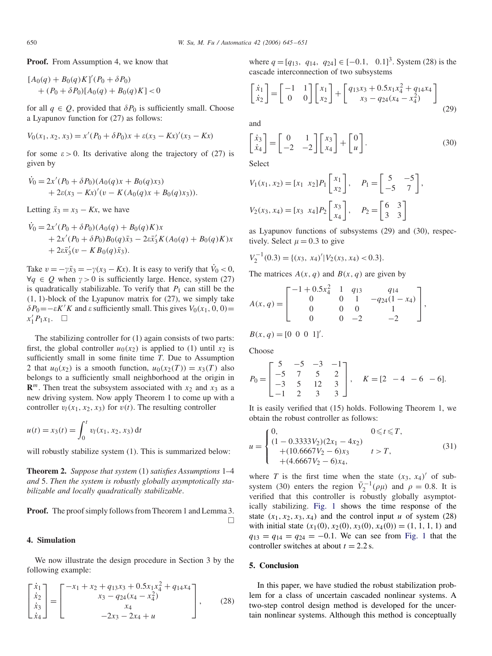**Proof.** From Assumption 4, we know that

$$
[A_0(q) + B_0(q)K]'(P_0 + \delta P_0)
$$
  
+  $(P_0 + \delta P_0)[A_0(q) + B_0(q)K] < 0$ 

for all  $q \in Q$ , provided that  $\delta P_0$  is sufficiently small. Choose a Lyapunov function for (27) as follows:

$$
V_0(x_1, x_2, x_3) = x'(P_0 + \delta P_0)x + \varepsilon (x_3 - Kx)'(x_3 - Kx)
$$

for some  $\varepsilon > 0$ . Its derivative along the trajectory of (27) is given by

$$
\dot{V}_0 = 2x'(P_0 + \delta P_0)(A_0(q)x + B_0(q)x_3) + 2\varepsilon(x_3 - Kx)'(v - K(A_0(q)x + B_0(q)x_3)).
$$

Letting  $\bar{x}_3 = x_3 - Kx$ , we have

$$
\dot{V}_0 = 2x'(P_0 + \delta P_0)(A_0(q) + B_0(q)K)x \n+ 2x'(P_0 + \delta P_0)B_0(q)\bar{x}_3 - 2\varepsilon \bar{x}_3'K(A_0(q) + B_0(q)K)x \n+ 2\varepsilon \bar{x}_3'(v - KB_0(q)\bar{x}_3).
$$

Take  $v = -\gamma \bar{x}_3 = -\gamma (x_3 - Kx)$ . It is easy to verify that  $\dot{V}_0 < 0$ ,  $\forall a \in \Omega$  when  $y > 0$  is sufficiently large. Hence, system (27)  $\forall q \in Q$  when  $\gamma > 0$  is sufficiently large. Hence, system (27) is quadratically stabilizable. To verify that  $P_1$  can still be the is quadratically stabilizable. To verify that  $P_1$  can still be the *(*1*,* <sup>1</sup>*)*-block of the Lyapunov matrix for (27), we simply take  $\delta P_0 = -\varepsilon K' K$  and  $\varepsilon$  sufficiently small. This gives  $V_0(x_1, 0, 0) =$ <br> $V_0(x_1, 0, 0) =$  $x_1' P_1 x_1$ .  $\Box$ 

The stabilizing controller for (1) again consists of two parts: first, the global controller  $u_0(x_2)$  is applied to (1) until  $x_2$  is sufficiently small in some finite time *T*. Due to Assumption 2 that  $u_0(x_2)$  is a smooth function,  $u_0(x_2(T)) = x_3(T)$  also belongs to a sufficiently small neighborhood at the origin in  $\mathbb{R}^m$ . Then treat the subsystem associated with  $x_2$  and  $x_3$  as a new driving system. Now apply Theorem 1 to come up with a controller  $v_l(x_1, x_2, x_3)$  for  $v(t)$ . The resulting controller

$$
u(t) = x_3(t) = \int_0^t v_l(x_1, x_2, x_3) dt
$$

will robustly stabilize system (1). This is summarized below:

**Theorem 2.** *Suppose that system* (1) *satisfies Assumptions* 1–4 *and* 5. *Then the system is robustly globally asymptotically stabilizable and locally quadratically stabilizable*.

**Proof.** The proof simply follows from Theorem 1 and Lemma 3.  $\Box$ 

#### **4. Simulation**

We now illustrate the design procedure in Section 3 by the following example:

$$
\begin{bmatrix} \dot{x}_1 \\ \dot{x}_2 \\ \dot{x}_3 \\ \dot{x}_4 \end{bmatrix} = \begin{bmatrix} -x_1 + x_2 + q_{13}x_3 + 0.5x_1x_4^2 + q_{14}x_4 \\ x_3 - q_{24}(x_4 - x_4^2) \\ x_4 \\ -2x_3 - 2x_4 + u \end{bmatrix},
$$
(28)

where  $q = [q_{13}, q_{14}, q_{24}] \in [-0.1, 0.1]^3$ . System (28) is the cascade interconnection of two subsystems cascade interconnection of two subsystems

$$
\begin{bmatrix} \dot{x}_1 \\ \dot{x}_2 \end{bmatrix} = \begin{bmatrix} -1 & 1 \\ 0 & 0 \end{bmatrix} \begin{bmatrix} x_1 \\ x_2 \end{bmatrix} + \begin{bmatrix} q_{13}x_3 + 0.5x_1x_4^2 + q_{14}x_4 \\ x_3 - q_{24}(x_4 - x_4^2) \end{bmatrix}
$$
(29)

and

$$
\begin{bmatrix} \dot{x}_3 \\ \dot{x}_4 \end{bmatrix} = \begin{bmatrix} 0 & 1 \\ -2 & -2 \end{bmatrix} \begin{bmatrix} x_3 \\ x_4 \end{bmatrix} + \begin{bmatrix} 0 \\ u \end{bmatrix}.
$$
 (30)

,

$$
V_1(x_1, x_2) = [x_1 \ x_2] P_1 \begin{bmatrix} x_1 \\ x_2 \end{bmatrix}, \quad P_1 = \begin{bmatrix} 5 & -5 \\ -5 & 7 \end{bmatrix}
$$

$$
V_2(x_3, x_4) = [x_3 \ x_4] P_2 \begin{bmatrix} x_3 \\ x_4 \end{bmatrix}, \quad P_2 = \begin{bmatrix} 6 & 3 \\ 3 & 3 \end{bmatrix}
$$

as Lyapunov functions of subsystems (29) and (30), respectively. Select  $\mu = 0.3$  to give

$$
V_2^{-1}(0.3) = \{(x_3, x_4)' | V_2(x_3, x_4) < 0.3\}.
$$

The matrices  $A(x, q)$  and  $B(x, q)$  are given by

$$
A(x,q) = \begin{bmatrix} -1 + 0.5x_4^2 & 1 & q_{13} & q_{14} \\ 0 & 0 & 1 & -q_{24}(1 - x_4) \\ 0 & 0 & 0 & 1 \\ 0 & 0 & -2 & -2 \end{bmatrix},
$$

 $B(x, q) = [0 \ 0 \ 0 \ 1]'$ .

Choose

$$
P_0 = \begin{bmatrix} 5 & -5 & -3 & -1 \\ -5 & 7 & 5 & 2 \\ -3 & 5 & 12 & 3 \\ -1 & 2 & 3 & 3 \end{bmatrix}, \quad K = \begin{bmatrix} 2 & -4 & -6 & -6 \end{bmatrix}.
$$

It is easily verified that (15) holds. Following Theorem 1, we obtain the robust controller as follows:

$$
u = \begin{cases} 0, & 0 \le t \le T, \\ (1 - 0.3333V_2)(2x_1 - 4x_2) \\ + (10.6667V_2 - 6)x_3 & t > T, \\ + (4.6667V_2 - 6)x_4, & \end{cases}
$$
(31)

where *T* is the first time when the state  $(x_3, x_4)'$  of sub-<br>system (30) enters the region  $\overline{V}^{-1}(\omega)$  and  $\omega = 0.8$  It is system (30) enters the region  $\bar{V}_2^{-1}(\rho\mu)$  and  $\rho = 0.8$ . It is verified that this controller is robustly alobelly asymptotverified that this controller is robustly globally asymptotically stabilizing. [Fig. 1](#page-6-0) shows the time response of the state  $(x_1, x_2, x_3, x_4)$  and the control input *u* of system (28) with initial state  $(x_1(0), x_2(0), x_3(0), x_4(0)) = (1, 1, 1, 1)$  and  $q_{13} = q_{14} = q_{24} = -0.1$ . We can see from [Fig. 1](#page-6-0) that the controller switches at about  $t = 2.2$  s.

# **5. Conclusion**

In this paper, we have studied the robust stabilization problem for a class of uncertain cascaded nonlinear systems. A two-step control design method is developed for the uncertain nonlinear systems. Although this method is conceptually